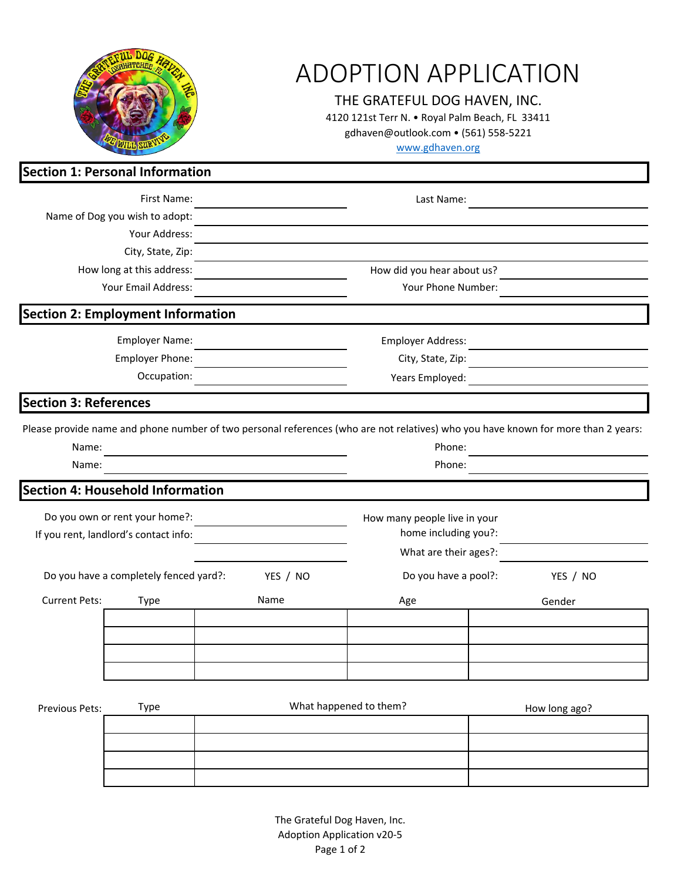|                                                                                                                                                     | <b>ADOPTION APPLICATION</b><br>THE GRATEFUL DOG HAVEN, INC.<br>4120 121st Terr N. . Royal Palm Beach, FL 33411<br>gdhaven@outlook.com • (561) 558-5221<br>www.gdhaven.org |      |                              |               |  |
|-----------------------------------------------------------------------------------------------------------------------------------------------------|---------------------------------------------------------------------------------------------------------------------------------------------------------------------------|------|------------------------------|---------------|--|
| Section 1: Personal Information                                                                                                                     |                                                                                                                                                                           |      |                              |               |  |
| First Name:                                                                                                                                         |                                                                                                                                                                           |      | Last Name:                   |               |  |
| Name of Dog you wish to adopt:                                                                                                                      |                                                                                                                                                                           |      |                              |               |  |
|                                                                                                                                                     | Your Address:                                                                                                                                                             |      |                              |               |  |
|                                                                                                                                                     | City, State, Zip:                                                                                                                                                         |      |                              |               |  |
|                                                                                                                                                     | How long at this address:                                                                                                                                                 |      | How did you hear about us?   |               |  |
|                                                                                                                                                     | Your Email Address:                                                                                                                                                       |      | Your Phone Number:           |               |  |
|                                                                                                                                                     | <b>Section 2: Employment Information</b>                                                                                                                                  |      |                              |               |  |
|                                                                                                                                                     | Employer Name:                                                                                                                                                            |      | Employer Address:            |               |  |
|                                                                                                                                                     | Employer Phone:                                                                                                                                                           |      | City, State, Zip:            |               |  |
| Occupation:                                                                                                                                         |                                                                                                                                                                           |      | Years Employed:              |               |  |
| <b>Section 3: References</b>                                                                                                                        |                                                                                                                                                                           |      |                              |               |  |
| Please provide name and phone number of two personal references (who are not relatives) who you have known for more than 2 years:<br>Name:<br>Name: |                                                                                                                                                                           |      | Phone:<br>Phone:             |               |  |
|                                                                                                                                                     | Section 4: Household Information                                                                                                                                          |      |                              |               |  |
| Do you own or rent your home?:                                                                                                                      |                                                                                                                                                                           |      | How many people live in your |               |  |
|                                                                                                                                                     | If you rent, landlord's contact info:                                                                                                                                     |      | home including you?:         |               |  |
|                                                                                                                                                     |                                                                                                                                                                           |      | What are their ages?:        |               |  |
| Do you have a completely fenced yard?:<br>YES / NO                                                                                                  |                                                                                                                                                                           |      | Do you have a pool?:         | YES / NO      |  |
| <b>Current Pets:</b>                                                                                                                                | Type                                                                                                                                                                      | Name | Age                          | Gender        |  |
|                                                                                                                                                     |                                                                                                                                                                           |      |                              |               |  |
|                                                                                                                                                     |                                                                                                                                                                           |      |                              |               |  |
|                                                                                                                                                     |                                                                                                                                                                           |      |                              |               |  |
|                                                                                                                                                     |                                                                                                                                                                           |      |                              |               |  |
| Previous Pets:                                                                                                                                      | <b>Type</b>                                                                                                                                                               |      | What happened to them?       | How long ago? |  |
|                                                                                                                                                     |                                                                                                                                                                           |      |                              |               |  |
|                                                                                                                                                     |                                                                                                                                                                           |      |                              |               |  |
|                                                                                                                                                     |                                                                                                                                                                           |      |                              |               |  |

The Grateful Dog Haven, Inc. Adoption Application v20-5 Page 1 of 2